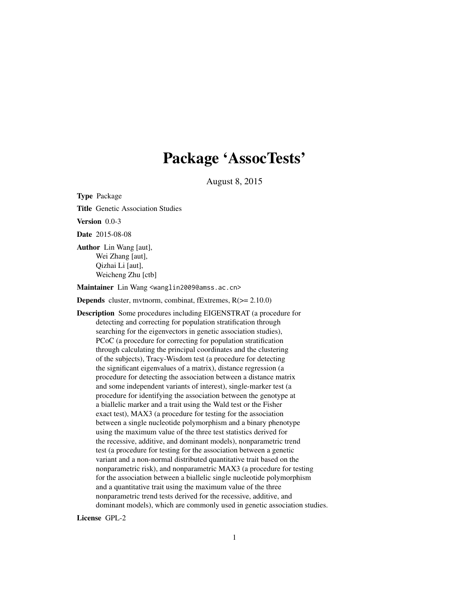## Package 'AssocTests'

August 8, 2015

<span id="page-0-0"></span>Type Package

Title Genetic Association Studies

Version 0.0-3

Date 2015-08-08

Author Lin Wang [aut], Wei Zhang [aut], Qizhai Li [aut], Weicheng Zhu [ctb]

Maintainer Lin Wang <wanglin2009@amss.ac.cn>

Depends cluster, mvtnorm, combinat, fExtremes, R(>= 2.10.0)

Description Some procedures including EIGENSTRAT (a procedure for detecting and correcting for population stratification through searching for the eigenvectors in genetic association studies), PCoC (a procedure for correcting for population stratification through calculating the principal coordinates and the clustering of the subjects), Tracy-Wisdom test (a procedure for detecting the significant eigenvalues of a matrix), distance regression (a procedure for detecting the association between a distance matrix and some independent variants of interest), single-marker test (a procedure for identifying the association between the genotype at a biallelic marker and a trait using the Wald test or the Fisher exact test), MAX3 (a procedure for testing for the association between a single nucleotide polymorphism and a binary phenotype using the maximum value of the three test statistics derived for the recessive, additive, and dominant models), nonparametric trend test (a procedure for testing for the association between a genetic variant and a non-normal distributed quantitative trait based on the nonparametric risk), and nonparametric MAX3 (a procedure for testing for the association between a biallelic single nucleotide polymorphism and a quantitative trait using the maximum value of the three nonparametric trend tests derived for the recessive, additive, and dominant models), which are commonly used in genetic association studies.

License GPL-2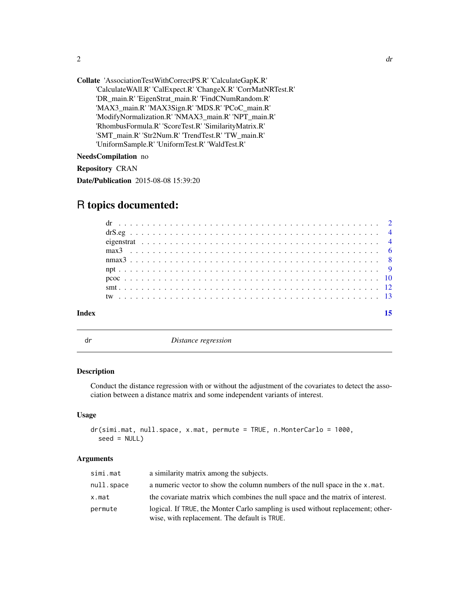<span id="page-1-0"></span>

```
Collate 'AssociationTestWithCorrectPS.R' 'CalculateGapK.R'
     'CalculateWAll.R' 'CalExpect.R' 'ChangeX.R' 'CorrMatNRTest.R'
     'DR_main.R' 'EigenStrat_main.R' 'FindCNumRandom.R'
     'MAX3_main.R' 'MAX3Sign.R' 'MDS.R' 'PCoC_main.R'
     'ModifyNormalization.R' 'NMAX3_main.R' 'NPT_main.R'
     'RhombusFormula.R' 'ScoreTest.R' 'SimilarityMatrix.R'
     'SMT_main.R' 'Str2Num.R' 'TrendTest.R' 'TW_main.R'
     'UniformSample.R' 'UniformTest.R' 'WaldTest.R'
```
NeedsCompilation no

Repository CRAN

Date/Publication 2015-08-08 15:39:20

### R topics documented:

| Index |  |  |  |  |  |  |  |  |  |  |  |  |  |  |  |  |  |  |  |  |  |  |
|-------|--|--|--|--|--|--|--|--|--|--|--|--|--|--|--|--|--|--|--|--|--|--|

<span id="page-1-1"></span>

dr *Distance regression*

#### Description

Conduct the distance regression with or without the adjustment of the covariates to detect the association between a distance matrix and some independent variants of interest.

#### Usage

```
dr(simi.mat, null.space, x.mat, permute = TRUE, n.MonterCarlo = 1000,
 seed = NULL)
```

| simi.mat   | a similarity matrix among the subjects.                                                                                         |
|------------|---------------------------------------------------------------------------------------------------------------------------------|
| null.space | a numeric vector to show the column numbers of the null space in the x.mat.                                                     |
| x.mat      | the covariate matrix which combines the null space and the matrix of interest.                                                  |
| permute    | logical. If TRUE, the Monter Carlo sampling is used without replacement; other-<br>wise, with replacement. The default is TRUE. |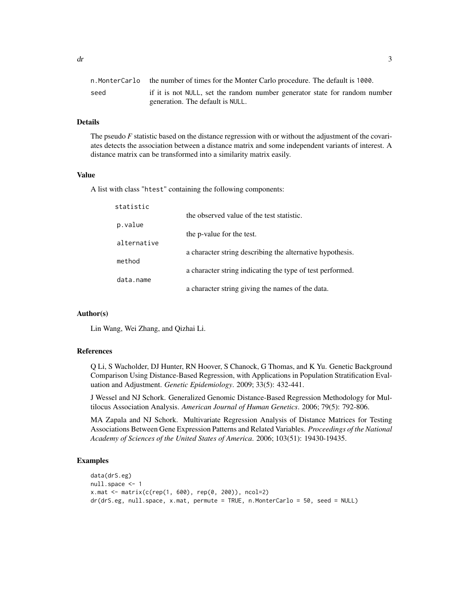#### Details

The pseudo *F* statistic based on the distance regression with or without the adjustment of the covariates detects the association between a distance matrix and some independent variants of interest. A distance matrix can be transformed into a similarity matrix easily.

#### Value

A list with class "htest" containing the following components:

| statistic   |                                                           |
|-------------|-----------------------------------------------------------|
|             | the observed value of the test statistic.                 |
| p.value     |                                                           |
|             | the p-value for the test.                                 |
| alternative |                                                           |
|             | a character string describing the alternative hypothesis. |
| method      |                                                           |
|             | a character string indicating the type of test performed. |
| data.name   |                                                           |
|             | a character string giving the names of the data.          |

#### Author(s)

Lin Wang, Wei Zhang, and Qizhai Li.

#### References

Q Li, S Wacholder, DJ Hunter, RN Hoover, S Chanock, G Thomas, and K Yu. Genetic Background Comparison Using Distance-Based Regression, with Applications in Population Stratification Evaluation and Adjustment. *Genetic Epidemiology*. 2009; 33(5): 432-441.

J Wessel and NJ Schork. Generalized Genomic Distance-Based Regression Methodology for Multilocus Association Analysis. *American Journal of Human Genetics*. 2006; 79(5): 792-806.

MA Zapala and NJ Schork. Multivariate Regression Analysis of Distance Matrices for Testing Associations Between Gene Expression Patterns and Related Variables. *Proceedings of the National Academy of Sciences of the United States of America*. 2006; 103(51): 19430-19435.

```
data(drS.eg)
null.space <- 1
x.mat <- matrix(c(rep(1, 600), rep(0, 200)), ncol=2)
dr(drS.eg, null.space, x.mat, permute = TRUE, n.MonterCarlo = 50, seed = NULL)
```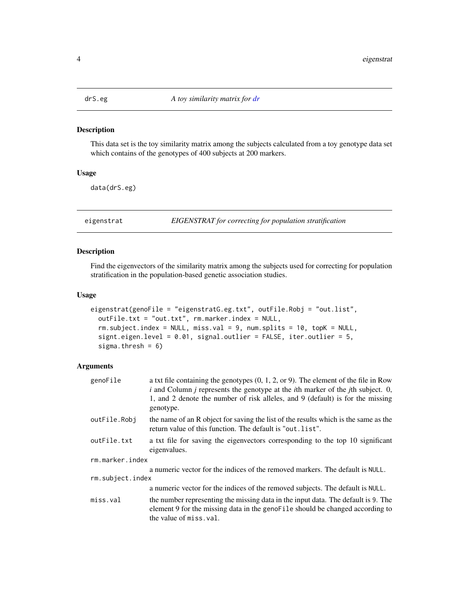<span id="page-3-0"></span>

#### Description

This data set is the toy similarity matrix among the subjects calculated from a toy genotype data set which contains of the genotypes of 400 subjects at 200 markers.

### Usage

data(drS.eg)

eigenstrat *EIGENSTRAT for correcting for population stratification*

#### Description

Find the eigenvectors of the similarity matrix among the subjects used for correcting for population stratification in the population-based genetic association studies.

#### Usage

```
eigenstrat(genoFile = "eigenstratG.eg.txt", outFile.Robj = "out.list",
 outFile.txt = "out.txt", rm.marker.index = NULL,
  rm.subject.index = NULL, miss.val = 9, num.splits = 10, topK = NULL,signt.eigen.level = 0.01, signal.outlier = FALSE, iter.outlier = 5,
  sigma.thresh = 6)
```

| genoFile         | a txt file containing the genotypes $(0, 1, 2, or 9)$ . The element of the file in Row<br>i and Column j represents the genotype at the <i>i</i> th marker of the <i>j</i> th subject. 0,<br>1, and 2 denote the number of risk alleles, and 9 (default) is for the missing<br>genotype. |
|------------------|------------------------------------------------------------------------------------------------------------------------------------------------------------------------------------------------------------------------------------------------------------------------------------------|
| outFile.Robj     | the name of an R object for saving the list of the results which is the same as the<br>return value of this function. The default is "out.list".                                                                                                                                         |
| outFile.txt      | a txt file for saving the eigenvectors corresponding to the top 10 significant<br>eigenvalues.                                                                                                                                                                                           |
| rm.marker.index  |                                                                                                                                                                                                                                                                                          |
|                  | a numeric vector for the indices of the removed markers. The default is NULL.                                                                                                                                                                                                            |
| rm.subject.index |                                                                                                                                                                                                                                                                                          |
|                  | a numeric vector for the indices of the removed subjects. The default is NULL.                                                                                                                                                                                                           |
| miss.val         | the number representing the missing data in the input data. The default is 9. The<br>element 9 for the missing data in the genoFile should be changed according to<br>the value of miss. val.                                                                                            |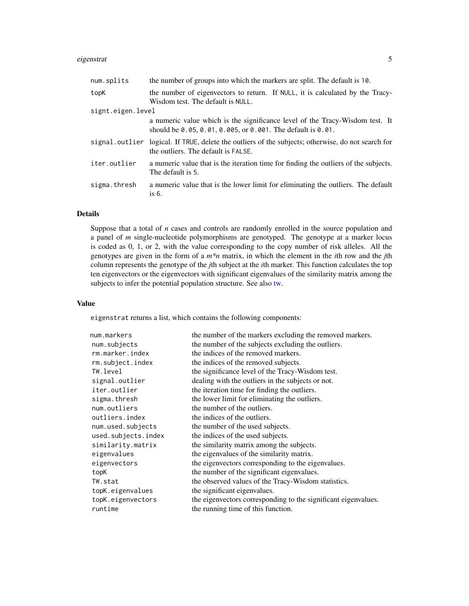#### <span id="page-4-0"></span>eigenstrat 5

| num.splits        | the number of groups into which the markers are split. The default is 10.                                                                   |  |  |  |  |  |
|-------------------|---------------------------------------------------------------------------------------------------------------------------------------------|--|--|--|--|--|
| topK              | the number of eigenvectors to return. If NULL, it is calculated by the Tracy-<br>Wisdom test. The default is NULL.                          |  |  |  |  |  |
| signt.eigen.level |                                                                                                                                             |  |  |  |  |  |
|                   | a numeric value which is the significance level of the Tracy-Wisdom test. It<br>should be 0.05, 0.01, 0.005, or 0.001. The default is 0.01. |  |  |  |  |  |
|                   | signal outlier logical. If TRUE, delete the outliers of the subjects; otherwise, do not search for<br>the outliers. The default is FALSE.   |  |  |  |  |  |
| iter.outlier      | a numeric value that is the iteration time for finding the outliers of the subjects.<br>The default is 5.                                   |  |  |  |  |  |
| sigma.thresh      | a numeric value that is the lower limit for eliminating the outliers. The default<br>is 6.                                                  |  |  |  |  |  |

#### Details

Suppose that a total of *n* cases and controls are randomly enrolled in the source population and a panel of *m* single-nucleotide polymorphisms are genotyped. The genotype at a marker locus is coded as 0, 1, or 2, with the value corresponding to the copy number of risk alleles. All the genotypes are given in the form of a *m\*n* matrix, in which the element in the *i*th row and the *j*th column represents the genotype of the *j*th subject at the *i*th marker. This function calculates the top ten eigenvectors or the eigenvectors with significant eigenvalues of the similarity matrix among the subjects to infer the potential population structure. See also [tw.](#page-12-1)

#### Value

eigenstrat returns a list, which contains the following components:

| num.markers         | the number of the markers excluding the removed markers.       |
|---------------------|----------------------------------------------------------------|
| num.subjects        | the number of the subjects excluding the outliers.             |
| rm.marker.index     | the indices of the removed markers.                            |
| rm.subject.index    | the indices of the removed subjects.                           |
| TW.level            | the significance level of the Tracy-Wisdom test.               |
| signal.outlier      | dealing with the outliers in the subjects or not.              |
| iter.outlier        | the iteration time for finding the outliers.                   |
| sigma.thresh        | the lower limit for eliminating the outliers.                  |
| num.outliers        | the number of the outliers.                                    |
| outliers.index      | the indices of the outliers.                                   |
| num.used.subjects   | the number of the used subjects.                               |
| used.subjects.index | the indices of the used subjects.                              |
| similarity.matrix   | the similarity matrix among the subjects.                      |
| eigenvalues         | the eigenvalues of the similarity matrix.                      |
| eigenvectors        | the eigenvectors corresponding to the eigenvalues.             |
| topK                | the number of the significant eigenvalues.                     |
| TW.stat             | the observed values of the Tracy-Wisdom statistics.            |
| topK.eigenvalues    | the significant eigenvalues.                                   |
| topK.eigenvectors   | the eigenvectors corresponding to the significant eigenvalues. |
| runtime             | the running time of this function.                             |
|                     |                                                                |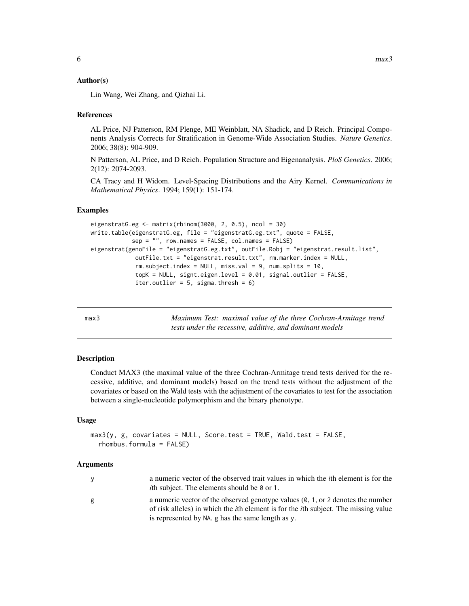#### <span id="page-5-0"></span>Author(s)

Lin Wang, Wei Zhang, and Qizhai Li.

#### References

AL Price, NJ Patterson, RM Plenge, ME Weinblatt, NA Shadick, and D Reich. Principal Components Analysis Corrects for Stratification in Genome-Wide Association Studies. *Nature Genetics*. 2006; 38(8): 904-909.

N Patterson, AL Price, and D Reich. Population Structure and Eigenanalysis. *PloS Genetics*. 2006; 2(12): 2074-2093.

CA Tracy and H Widom. Level-Spacing Distributions and the Airy Kernel. *Communications in Mathematical Physics*. 1994; 159(1): 151-174.

#### Examples

```
eigenstratG.eg \leq matrix(rbinom(3000, 2, 0.5), ncol = 30)
write.table(eigenstratG.eg, file = "eigenstratG.eg.txt", quote = FALSE,
           sep = "", row.name = FALSE, col.name = FALSE)eigenstrat(genoFile = "eigenstratG.eg.txt", outFile.Robj = "eigenstrat.result.list",
            outFile.txt = "eigenstrat.result.txt", rm.marker.index = NULL,
            rm.subject.index = NULL, miss.val = 9, num.splits = 10,topK = NULL, signt.eigen.level = 0.01, signal.outlier = FALSE,
            iter.outlier = 5, sigma.thresh = 6)
```
<span id="page-5-1"></span>max3 *Maximum Test: maximal value of the three Cochran-Armitage trend tests under the recessive, additive, and dominant models*

#### **Description**

Conduct MAX3 (the maximal value of the three Cochran-Armitage trend tests derived for the recessive, additive, and dominant models) based on the trend tests without the adjustment of the covariates or based on the Wald tests with the adjustment of the covariates to test for the association between a single-nucleotide polymorphism and the binary phenotype.

#### Usage

```
max3(y, g, covariates = NULL, Score.test = TRUE, Wald.test = FALSE,rhombus.formula = FALSE)
```

| ۷ | a numeric vector of the observed trait values in which the <i>i</i> th element is for the<br><i>i</i> th subject. The elements should be 0 or 1.                                                                                              |
|---|-----------------------------------------------------------------------------------------------------------------------------------------------------------------------------------------------------------------------------------------------|
| g | a numeric vector of the observed genotype values $(0, 1,$ or 2 denotes the number<br>of risk alleles) in which the <i>i</i> th element is for the <i>i</i> th subject. The missing value<br>is represented by NA. g has the same length as y. |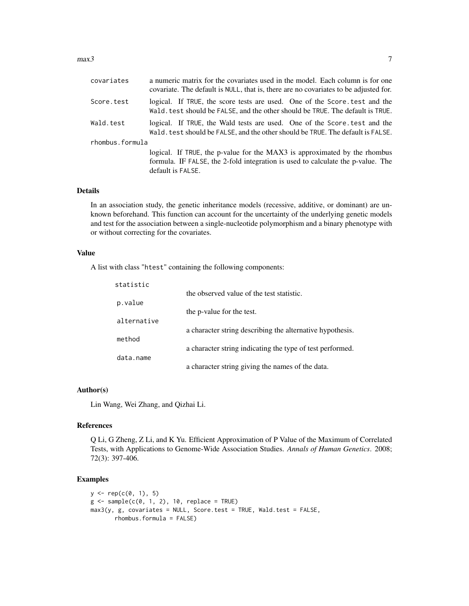| covariates      | a numeric matrix for the covariates used in the model. Each column is for one<br>covariate. The default is NULL, that is, there are no covariates to be adjusted for. |
|-----------------|-----------------------------------------------------------------------------------------------------------------------------------------------------------------------|
| Score.test      | logical. If TRUE, the score tests are used. One of the Score test and the<br>Wald, test should be FALSE, and the other should be TRUE. The default is TRUE.           |
| Wald.test       | logical. If TRUE, the Wald tests are used. One of the Score test and the<br>Wald. test should be FALSE, and the other should be TRUE. The default is FALSE.           |
| rhombus.formula |                                                                                                                                                                       |
|                 | logical. If TRUE, the p-value for the MAX3 is approximated by the rhombus                                                                                             |
|                 | formula. IF FALSE, the 2-fold integration is used to calculate the p-value. The                                                                                       |
|                 | default is FALSE.                                                                                                                                                     |

#### Details

In an association study, the genetic inheritance models (recessive, additive, or dominant) are unknown beforehand. This function can account for the uncertainty of the underlying genetic models and test for the association between a single-nucleotide polymorphism and a binary phenotype with or without correcting for the covariates.

#### Value

A list with class "htest" containing the following components:

| statistic   |                                                           |
|-------------|-----------------------------------------------------------|
|             | the observed value of the test statistic.                 |
| p.value     |                                                           |
|             | the p-value for the test.                                 |
| alternative |                                                           |
|             | a character string describing the alternative hypothesis. |
| method      |                                                           |
|             | a character string indicating the type of test performed. |
| data.name   |                                                           |
|             | a character string giving the names of the data.          |

#### Author(s)

Lin Wang, Wei Zhang, and Qizhai Li.

#### References

Q Li, G Zheng, Z Li, and K Yu. Efficient Approximation of P Value of the Maximum of Correlated Tests, with Applications to Genome-Wide Association Studies. *Annals of Human Genetics*. 2008; 72(3): 397-406.

```
y \le -\text{rep}(c(0, 1), 5)g \leftarrow sample(c(0, 1, 2), 10, replace = TRUE)
max3(y, g, covariates = NULL, Score.test = TRUE, Wald.test = FALSE,rhombus.formula = FALSE)
```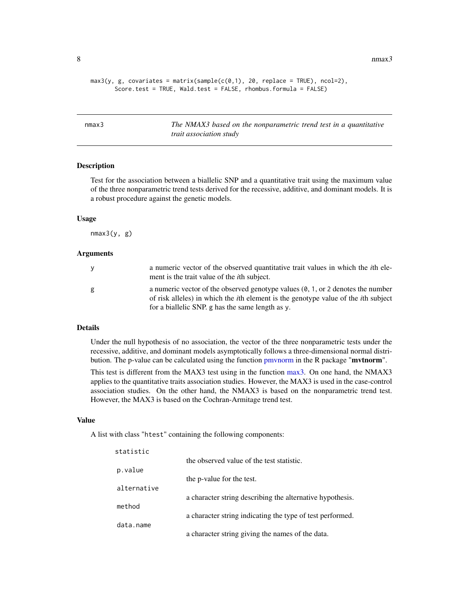$8 \,$  nmax3

```
max3(y, g, covariates = matrix(sample(c(0,1), 20, replace = TRUE), ncol=2),Score.test = TRUE, Wald.test = FALSE, rhombus.formula = FALSE)
```
nmax3 *The NMAX3 based on the nonparametric trend test in a quantitative trait association study*

#### Description

Test for the association between a biallelic SNP and a quantitative trait using the maximum value of the three nonparametric trend tests derived for the recessive, additive, and dominant models. It is a robust procedure against the genetic models.

#### Usage

 $nmax3(y, g)$ 

#### Arguments

| y | a numeric vector of the observed quantitative trait values in which the <i>i</i> th ele-<br>ment is the trait value of the <i>i</i> th subject.                                                                                                             |
|---|-------------------------------------------------------------------------------------------------------------------------------------------------------------------------------------------------------------------------------------------------------------|
| g | a numeric vector of the observed genotype values $(0, 1, \text{or } 2 \text{ denotes the number})$<br>of risk alleles) in which the <i>i</i> th element is the genotype value of the <i>i</i> th subject<br>for a biallelic SNP g has the same length as y. |

#### Details

Under the null hypothesis of no association, the vector of the three nonparametric tests under the recessive, additive, and dominant models asymptotically follows a three-dimensional normal distribution. The p-value can be calculated using the function [pmvnorm](#page-0-0) in the R package "mvtnorm".

This test is different from the MAX3 test using in the function [max3.](#page-5-1) On one hand, the NMAX3 applies to the quantitative traits association studies. However, the MAX3 is used in the case-control association studies. On the other hand, the NMAX3 is based on the nonparametric trend test. However, the MAX3 is based on the Cochran-Armitage trend test.

#### Value

statistic

A list with class "htest" containing the following components:

| statistic   |                                                           |
|-------------|-----------------------------------------------------------|
|             | the observed value of the test statistic.                 |
| p.value     |                                                           |
|             | the p-value for the test.                                 |
| alternative |                                                           |
|             | a character string describing the alternative hypothesis. |
| method      |                                                           |
| data.name   | a character string indicating the type of test performed. |
|             | a character string giving the names of the data.          |
|             |                                                           |

<span id="page-7-0"></span>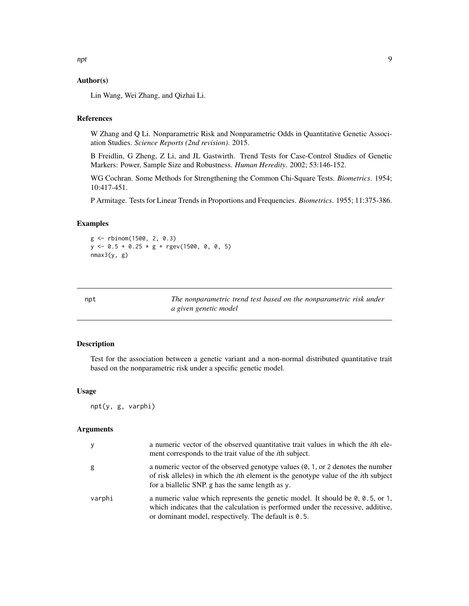#### <span id="page-8-0"></span>Author(s)

Lin Wang, Wei Zhang, and Qizhai Li.

#### References

W Zhang and Q Li. Nonparametric Risk and Nonparametric Odds in Quantitative Genetic Association Studies. *Science Reports (2nd revision)*. 2015.

B Freidlin, G Zheng, Z Li, and JL Gastwirth. Trend Tests for Case-Control Studies of Genetic Markers: Power, Sample Size and Robustness. *Human Heredity*. 2002; 53:146-152.

WG Cochran. Some Methods for Strengthening the Common Chi-Square Tests. *Biometrics*. 1954; 10:417-451.

P Armitage. Tests for Linear Trends in Proportions and Frequencies. *Biometrics*. 1955; 11:375-386.

#### Examples

g <- rbinom(1500, 2, 0.3)  $y \le -0.5 + 0.25 * g + \text{rgev}(1500, 0, 0, 5)$  $nmax3(y, g)$ 

npt *The nonparametric trend test based on the nonparametric risk under a given genetic model*

#### Description

Test for the association between a genetic variant and a non-normal distributed quantitative trait based on the nonparametric risk under a specific genetic model.

#### Usage

npt(y, g, varphi)

| y      | a numeric vector of the observed quantitative trait values in which the <i>i</i> th ele-<br>ment corresponds to the trait value of the <i>i</i> th subject.                                                                                                                  |
|--------|------------------------------------------------------------------------------------------------------------------------------------------------------------------------------------------------------------------------------------------------------------------------------|
| g      | a numeric vector of the observed genotype values $(0, 1, \text{or } 2 \text{ denotes the number})$<br>of risk alleles) in which the <i>i</i> th element is the genotype value of the <i>i</i> th subject<br>for a biallelic SNP. g has the same length as y.                 |
| varphi | a numeric value which represents the genetic model. It should be $\theta$ , $\theta$ , $\theta$ , $\theta$ , $\theta$ , $\theta$<br>which indicates that the calculation is performed under the recessive, additive,<br>or dominant model, respectively. The default is 0.5. |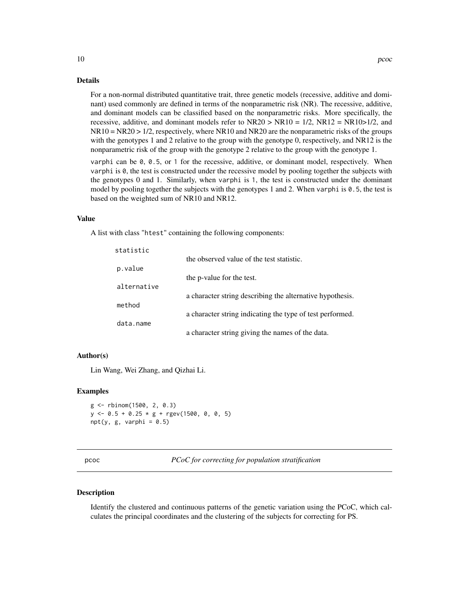#### <span id="page-9-0"></span>Details

For a non-normal distributed quantitative trait, three genetic models (recessive, additive and dominant) used commonly are defined in terms of the nonparametric risk (NR). The recessive, additive, and dominant models can be classified based on the nonparametric risks. More specifically, the recessive, additive, and dominant models refer to  $NR20 > NR10 = 1/2$ ,  $NR12 = NR10 > 1/2$ , and  $NR10 = NR20 > 1/2$ , respectively, where  $NR10$  and  $NR20$  are the nonparametric risks of the groups with the genotypes 1 and 2 relative to the group with the genotype 0, respectively, and NR12 is the nonparametric risk of the group with the genotype 2 relative to the group with the genotype 1.

varphi can be  $\emptyset$ ,  $\emptyset$ . 5, or 1 for the recessive, additive, or dominant model, respectively. When varphi is 0, the test is constructed under the recessive model by pooling together the subjects with the genotypes 0 and 1. Similarly, when varphi is 1, the test is constructed under the dominant model by pooling together the subjects with the genotypes 1 and 2. When varphi is  $0.5$ , the test is based on the weighted sum of NR10 and NR12.

#### Value

A list with class "htest" containing the following components:

| statistic   |                                                           |
|-------------|-----------------------------------------------------------|
|             | the observed value of the test statistic.                 |
| p.value     |                                                           |
|             | the p-value for the test.                                 |
| alternative |                                                           |
|             | a character string describing the alternative hypothesis. |
| method      |                                                           |
|             | a character string indicating the type of test performed. |
| data.name   |                                                           |
|             | a character string giving the names of the data.          |

#### Author(s)

Lin Wang, Wei Zhang, and Qizhai Li.

#### Examples

```
g <- rbinom(1500, 2, 0.3)
y \le -0.5 + 0.25 * g + \text{rgev}(1500, 0, 0, 5)npt(y, g, varphi = 0.5)
```
pcoc *PCoC for correcting for population stratification*

#### Description

Identify the clustered and continuous patterns of the genetic variation using the PCoC, which calculates the principal coordinates and the clustering of the subjects for correcting for PS.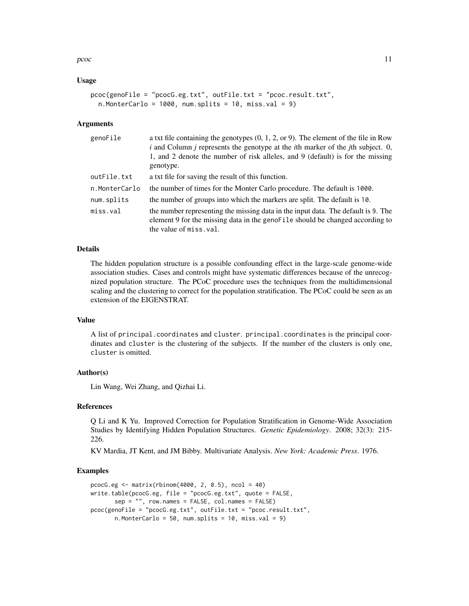$p\cos\theta$  11

#### Usage

```
pcoc(genoFile = "pcocG.eg.txt", outFile.txt = "pcoc.result.txt",
  n.MonterCarlo = 1000, num.splits = 10, missval = 9)
```
#### Arguments

| genoFile      | a txt file containing the genotypes $(0, 1, 2, \text{or } 9)$ . The element of the file in Row<br>$i$ and Column $j$ represents the genotype at the $i$ th marker of the $j$ th subject. 0, |
|---------------|---------------------------------------------------------------------------------------------------------------------------------------------------------------------------------------------|
|               |                                                                                                                                                                                             |
|               | 1, and 2 denote the number of risk alleles, and 9 (default) is for the missing                                                                                                              |
|               | genotype.                                                                                                                                                                                   |
| outFile.txt   | a txt file for saving the result of this function.                                                                                                                                          |
| n.MonterCarlo | the number of times for the Monter Carlo procedure. The default is 1000.                                                                                                                    |
| num.splits    | the number of groups into which the markers are split. The default is 10.                                                                                                                   |
| miss.val      | the number representing the missing data in the input data. The default is 9. The                                                                                                           |
|               | element 9 for the missing data in the geno-File should be changed according to                                                                                                              |
|               | the value of miss. val.                                                                                                                                                                     |

#### Details

The hidden population structure is a possible confounding effect in the large-scale genome-wide association studies. Cases and controls might have systematic differences because of the unrecognized population structure. The PCoC procedure uses the techniques from the multidimensional scaling and the clustering to correct for the population stratification. The PCoC could be seen as an extension of the EIGENSTRAT.

#### Value

A list of principal.coordinates and cluster. principal.coordinates is the principal coordinates and cluster is the clustering of the subjects. If the number of the clusters is only one, cluster is omitted.

#### Author(s)

Lin Wang, Wei Zhang, and Qizhai Li.

#### References

Q Li and K Yu. Improved Correction for Population Stratification in Genome-Wide Association Studies by Identifying Hidden Population Structures. *Genetic Epidemiology*. 2008; 32(3): 215- 226.

KV Mardia, JT Kent, and JM Bibby. Multivariate Analysis. *New York: Academic Press*. 1976.

```
pcocG.eg <- matrix(rbinom(4000, 2, 0.5), ncol = 40)
write.table(pcocG.eg, file = "pcocG.eg.txt", quote = FALSE,
      sep = "", row.names = FALSE, col.names = FALSE)
pcoc(genoFile = "pcocG.eg.txt", outFile.txt = "pcoc.result.txt",
      n.MonterCarlo = 50, num.splits = 10, miss.val = 9)
```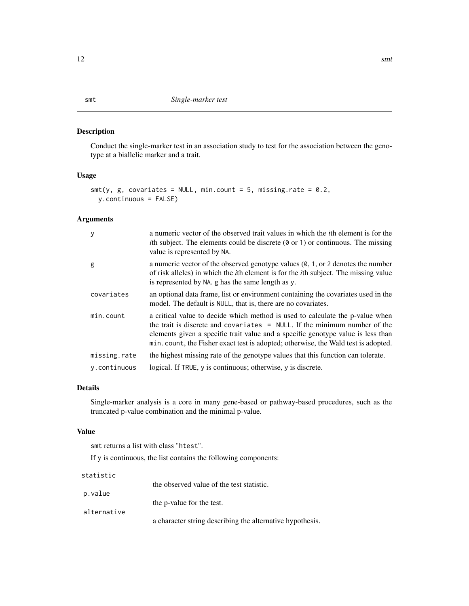#### <span id="page-11-0"></span>Description

Conduct the single-marker test in an association study to test for the association between the genotype at a biallelic marker and a trait.

#### Usage

```
smt(y, g, covariates = NULL, min.count = 5, missing.rate = <math>0.2</math>,y.continuous = FALSE)
```
#### Arguments

| <b>V</b>     | a numeric vector of the observed trait values in which the <i>i</i> th element is for the<br><i>i</i> th subject. The elements could be discrete $(0 \text{ or } 1)$ or continuous. The missing<br>value is represented by NA.                                                                                                       |
|--------------|--------------------------------------------------------------------------------------------------------------------------------------------------------------------------------------------------------------------------------------------------------------------------------------------------------------------------------------|
| g            | a numeric vector of the observed genotype values $(0, 1,$ or 2 denotes the number<br>of risk alleles) in which the <i>i</i> th element is for the <i>i</i> th subject. The missing value<br>is represented by NA. g has the same length as y.                                                                                        |
| covariates   | an optional data frame, list or environment containing the covariates used in the<br>model. The default is NULL, that is, there are no covariates.                                                                                                                                                                                   |
| min.count    | a critical value to decide which method is used to calculate the p-value when<br>the trait is discrete and covariates = NULL. If the minimum number of the<br>elements given a specific trait value and a specific genotype value is less than<br>min. count, the Fisher exact test is adopted; otherwise, the Wald test is adopted. |
| missing.rate | the highest missing rate of the genotype values that this function can tolerate.                                                                                                                                                                                                                                                     |
| y.continuous | logical. If TRUE, y is continuous; otherwise, y is discrete.                                                                                                                                                                                                                                                                         |

#### Details

Single-marker analysis is a core in many gene-based or pathway-based procedures, such as the truncated p-value combination and the minimal p-value.

#### Value

smt returns a list with class "htest".

If y is continuous, the list contains the following components:

#### statistic

|             | the observed value of the test statistic.                 |
|-------------|-----------------------------------------------------------|
| p.value     |                                                           |
|             | the p-value for the test.                                 |
| alternative |                                                           |
|             | a character string describing the alternative hypothesis. |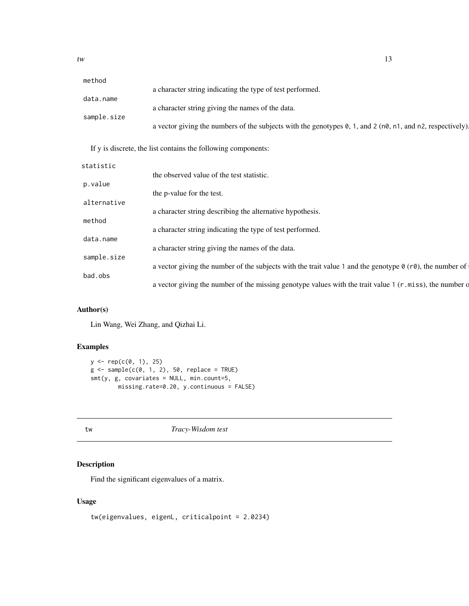<span id="page-12-0"></span>

| method      |                                                                                                                            |
|-------------|----------------------------------------------------------------------------------------------------------------------------|
|             | a character string indicating the type of test performed.                                                                  |
| data.name   |                                                                                                                            |
|             | a character string giving the names of the data.                                                                           |
| sample.size |                                                                                                                            |
|             | a vector giving the numbers of the subjects with the genotypes $\theta$ , 1, and 2 (n $\theta$ , n1, and n2, respectively) |

If y is discrete, the list contains the following components:

| statistic   |                                                                                                                          |  |  |
|-------------|--------------------------------------------------------------------------------------------------------------------------|--|--|
|             | the observed value of the test statistic.                                                                                |  |  |
| p.value     |                                                                                                                          |  |  |
|             | the p-value for the test.                                                                                                |  |  |
| alternative |                                                                                                                          |  |  |
|             | a character string describing the alternative hypothesis.                                                                |  |  |
| method      |                                                                                                                          |  |  |
|             | a character string indicating the type of test performed.                                                                |  |  |
| data.name   |                                                                                                                          |  |  |
|             | a character string giving the names of the data.                                                                         |  |  |
| sample.size |                                                                                                                          |  |  |
|             | a vector giving the number of the subjects with the trait value 1 and the genotype $\theta$ (r $\theta$ ), the number of |  |  |
| bad.obs     |                                                                                                                          |  |  |
|             | a vector giving the number of the missing genotype values with the trait value 1 (r.miss), the number c                  |  |  |

#### Author(s)

Lin Wang, Wei Zhang, and Qizhai Li.

#### Examples

```
y \leftarrow rep(c(\emptyset, 1), 25)g \leftarrow sample(c(0, 1, 2), 50, replace = TRUE)smt(y, g, covariates = NULL, min.count=5,
         missing.rate=0.20, y.continuous = FALSE)
```
<span id="page-12-1"></span>tw *Tracy-Wisdom test*

### Description

Find the significant eigenvalues of a matrix.

#### Usage

```
tw(eigenvalues, eigenL, criticalpoint = 2.0234)
```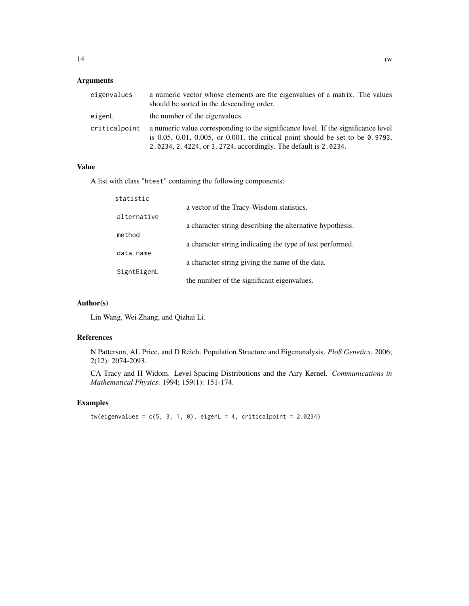### Arguments

| eigenvalues   | a numeric vector whose elements are the eigenvalues of a matrix. The values<br>should be sorted in the descending order.                                                                                                                  |
|---------------|-------------------------------------------------------------------------------------------------------------------------------------------------------------------------------------------------------------------------------------------|
| eigenL        | the number of the eigenvalues.                                                                                                                                                                                                            |
| criticalpoint | a numeric value corresponding to the significance level. If the significance level<br>is 0.05, 0.01, 0.005, or 0.001, the critical point should be set to be $0.9793$ ,<br>2.0234, 2.4224, or 3.2724, accordingly. The default is 2.0234. |

#### Value

A list with class "htest" containing the following components:

| statistic   |                                                           |
|-------------|-----------------------------------------------------------|
|             | a vector of the Tracy-Wisdom statistics.                  |
| alternative |                                                           |
|             | a character string describing the alternative hypothesis. |
| method      |                                                           |
|             | a character string indicating the type of test performed. |
| data.name   |                                                           |
|             | a character string giving the name of the data.           |
| SigntEigenL |                                                           |
|             | the number of the significant eigenvalues.                |

#### Author(s)

Lin Wang, Wei Zhang, and Qizhai Li.

#### References

N Patterson, AL Price, and D Reich. Population Structure and Eigenanalysis. *PloS Genetics*. 2006; 2(12): 2074-2093.

CA Tracy and H Widom. Level-Spacing Distributions and the Airy Kernel. *Communications in Mathematical Physics*. 1994; 159(1): 151-174.

```
tw(eigenvalues = c(5, 3, 1, 0), eigen <math>L = 4</math>, critical point = 2.0234)
```